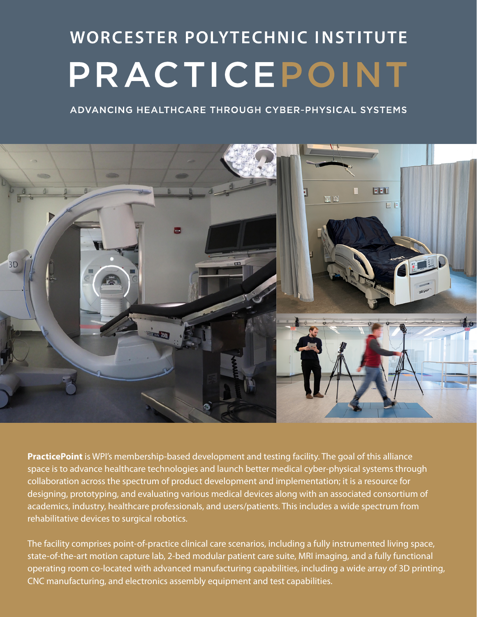# **WORCESTER POLYTECHNIC INSTITUTE** PRACTICEPOINT

ADVANCING HEALTHCARE THROUGH CYBER-PHYSICAL SYSTEMS



**PracticePoint** is WPI's membership-based development and testing facility. The goal of this alliance space is to advance healthcare technologies and launch better medical cyber-physical systems through collaboration across the spectrum of product development and implementation; it is a resource for designing, prototyping, and evaluating various medical devices along with an associated consortium of academics, industry, healthcare professionals, and users/patients. This includes a wide spectrum from rehabilitative devices to surgical robotics.

The facility comprises point-of-practice clinical care scenarios, including a fully instrumented living space, state-of-the-art motion capture lab, 2-bed modular patient care suite, MRI imaging, and a fully functional operating room co-located with advanced manufacturing capabilities, including a wide array of 3D printing, CNC manufacturing, and electronics assembly equipment and test capabilities.